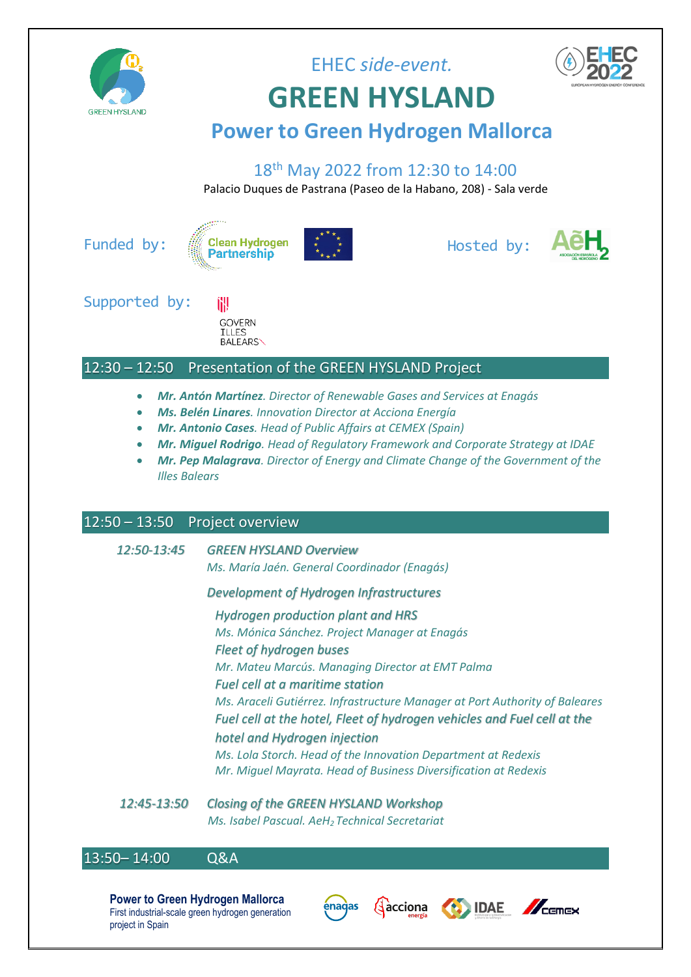

**GREEN HYSLAND**

EHEC *side-event.*



## **Power to Green Hydrogen Mallorca**

### 18th May 2022 from 12:30 to 14:00

Palacio Duques de Pastrana (Paseo de la Habano, 208) - Sala verde

Funded by:





Hosted by:



Supported by:



### 12:30 – 12:50 Presentation of the GREEN HYSLAND Project

- *Mr. Antón Martínez. Director of Renewable Gases and Services at Enagás*
- *Ms. Belén Linares. Innovation Director at Acciona Energía*
- *Mr. Antonio Cases. Head of Public Affairs at CEMEX (Spain)*
- *Mr. Miguel Rodrigo. Head of Regulatory Framework and Corporate Strategy at IDAE*
- *Mr. Pep Malagrava. Director of Energy and Climate Change of the Government of the Illes Balears*

### 12:50 – 13:50 Project overview

*12:50-13:45 GREEN HYSLAND Overview*

*Ms. María Jaén. General Coordinador (Enagás)*

### *Development of Hydrogen Infrastructures*

*Hydrogen production plant and HRS Ms. Mónica Sánchez. Project Manager at Enagás Fleet of hydrogen buses Mr. Mateu Marcús. Managing Director at EMT Palma Fuel cell at a maritime station Ms. Araceli Gutiérrez. Infrastructure Manager at Port Authority of Baleares Fuel cell at the hotel, Fleet of hydrogen vehicles and Fuel cell at the hotel and Hydrogen injection Ms. Lola Storch. Head of the Innovation Department at Redexis Mr. Miguel Mayrata. Head of Business Diversification at Redexis*

*12:45-13:50 Closing of the GREEN HYSLAND Workshop Ms. Isabel Pascual. AeH<sup>2</sup> Technical Secretariat*

### 13:50 - 14:00 Q&A

**Power to Green Hydrogen Mallorca** First industrial-scale green hydrogen generation project in Spain